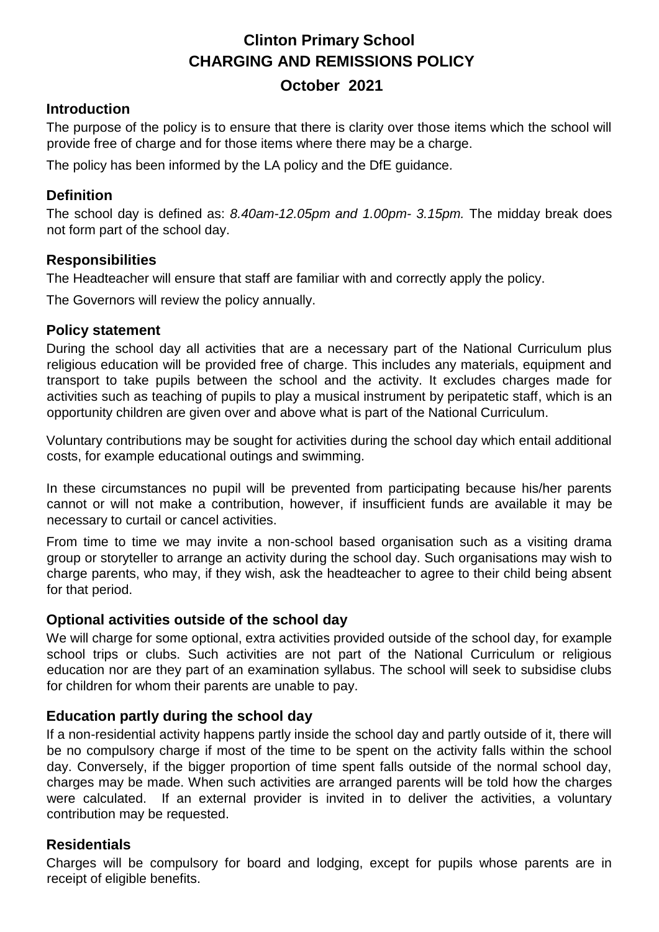# **Clinton Primary School CHARGING AND REMISSIONS POLICY**

# **October 2021**

#### **Introduction**

The purpose of the policy is to ensure that there is clarity over those items which the school will provide free of charge and for those items where there may be a charge.

The policy has been informed by the LA policy and the DfE guidance*.* 

#### **Definition**

The school day is defined as: *8.40am-12.05pm and 1.00pm- 3.15pm.* The midday break does not form part of the school day.

#### **Responsibilities**

The Headteacher will ensure that staff are familiar with and correctly apply the policy.

The Governors will review the policy annually.

#### **Policy statement**

During the school day all activities that are a necessary part of the National Curriculum plus religious education will be provided free of charge. This includes any materials, equipment and transport to take pupils between the school and the activity. It excludes charges made for activities such as teaching of pupils to play a musical instrument by peripatetic staff, which is an opportunity children are given over and above what is part of the National Curriculum.

Voluntary contributions may be sought for activities during the school day which entail additional costs, for example educational outings and swimming.

In these circumstances no pupil will be prevented from participating because his/her parents cannot or will not make a contribution, however, if insufficient funds are available it may be necessary to curtail or cancel activities.

From time to time we may invite a non-school based organisation such as a visiting drama group or storyteller to arrange an activity during the school day. Such organisations may wish to charge parents, who may, if they wish, ask the headteacher to agree to their child being absent for that period.

# **Optional activities outside of the school day**

We will charge for some optional, extra activities provided outside of the school day, for example school trips or clubs. Such activities are not part of the National Curriculum or religious education nor are they part of an examination syllabus. The school will seek to subsidise clubs for children for whom their parents are unable to pay.

# **Education partly during the school day**

If a non-residential activity happens partly inside the school day and partly outside of it, there will be no compulsory charge if most of the time to be spent on the activity falls within the school day. Conversely, if the bigger proportion of time spent falls outside of the normal school day, charges may be made. When such activities are arranged parents will be told how the charges were calculated. If an external provider is invited in to deliver the activities, a voluntary contribution may be requested.

# **Residentials**

Charges will be compulsory for board and lodging, except for pupils whose parents are in receipt of eligible benefits.